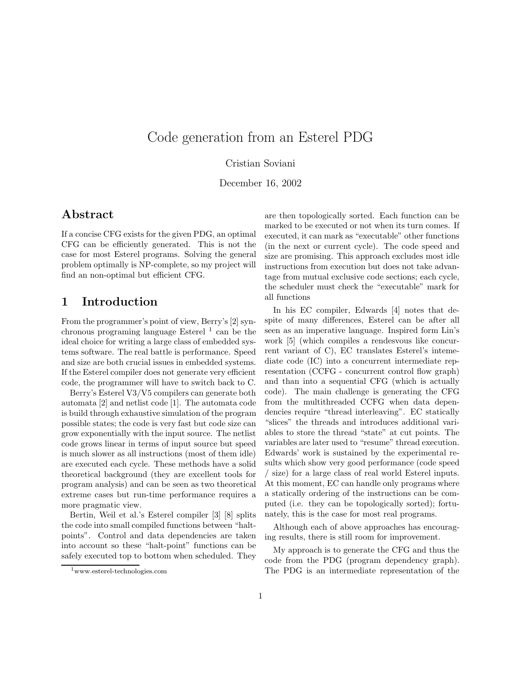# Code generation from an Esterel PDG

#### Cristian Soviani

December 16, 2002

## Abstract

If a concise CFG exists for the given PDG, an optimal CFG can be efficiently generated. This is not the case for most Esterel programs. Solving the general problem optimally is NP-complete, so my project will find an non-optimal but efficient CFG.

# 1 Introduction

From the programmer's point of view, Berry's [2] synchronous programing language Esterel <sup>1</sup> can be the ideal choice for writing a large class of embedded systems software. The real battle is performance. Speed and size are both crucial issues in embedded systems. If the Esterel compiler does not generate very efficient code, the programmer will have to switch back to C.

Berry's Esterel V3/V5 compilers can generate both automata [2] and netlist code [1]. The automata code is build through exhaustive simulation of the program possible states; the code is very fast but code size can grow exponentially with the input source. The netlist code grows linear in terms of input source but speed is much slower as all instructions (most of them idle) are executed each cycle. These methods have a solid theoretical background (they are excellent tools for program analysis) and can be seen as two theoretical extreme cases but run-time performance requires a more pragmatic view.

Bertin, Weil et al.'s Esterel compiler [3] [8] splits the code into small compiled functions between "haltpoints". Control and data dependencies are taken into account so these "halt-point" functions can be safely executed top to bottom when scheduled. They are then topologically sorted. Each function can be marked to be executed or not when its turn comes. If executed, it can mark as "executable" other functions (in the next or current cycle). The code speed and size are promising. This approach excludes most idle instructions from execution but does not take advantage from mutual exclusive code sections; each cycle, the scheduler must check the "executable" mark for all functions

In his EC compiler, Edwards [4] notes that despite of many differences, Esterel can be after all seen as an imperative language. Inspired form Lin's work [5] (which compiles a rendesvous like concurrent variant of C), EC translates Esterel's intemediate code (IC) into a concurrent intermediate representation (CCFG - concurrent control flow graph) and than into a sequential CFG (which is actually code). The main challenge is generating the CFG from the multithreaded CCFG when data dependencies require "thread interleaving". EC statically "slices" the threads and introduces additional variables to store the thread "state" at cut points. The variables are later used to "resume" thread execution. Edwards' work is sustained by the experimental results which show very good performance (code speed size) for a large class of real world Esterel inputs. At this moment, EC can handle only programs where a statically ordering of the instructions can be computed (i.e. they can be topologically sorted); fortunately, this is the case for most real programs.

Although each of above approaches has encouraging results, there is still room for improvement.

My approach is to generate the CFG and thus the code from the PDG (program dependency graph). The PDG is an intermediate representation of the

<sup>1</sup>www.esterel-technologies.com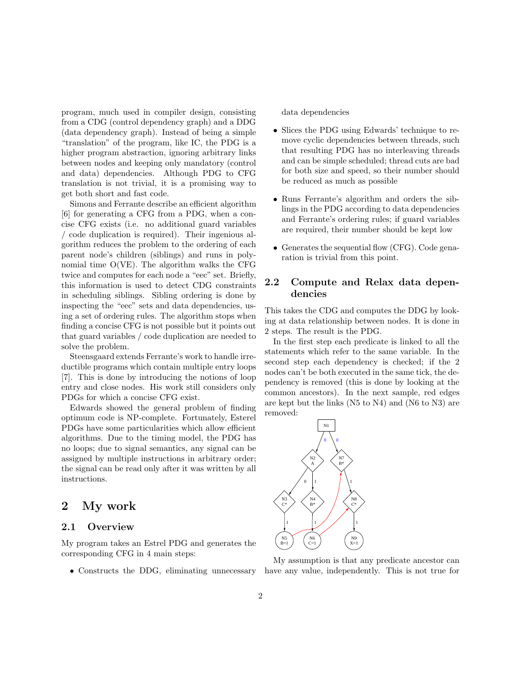program, much used in compiler design, consisting from a CDG (control dependency graph) and a DDG (data dependency graph). Instead of being a simple "translation" of the program, like IC, the PDG is a higher program abstraction, ignoring arbitrary links between nodes and keeping only mandatory (control and data) dependencies. Although PDG to CFG translation is not trivial, it is a promising way to get both short and fast code.

Simons and Ferrante describe an efficient algorithm [6] for generating a CFG from a PDG, when a concise CFG exists (i.e. no additional guard variables / code duplication is required). Their ingenious algorithm reduces the problem to the ordering of each parent node's children (siblings) and runs in polynomial time O(VE). The algorithm walks the CFG twice and computes for each node a "eec" set. Briefly, this information is used to detect CDG constraints in scheduling siblings. Sibling ordering is done by inspecting the "eec" sets and data dependencies, using a set of ordering rules. The algorithm stops when finding a concise CFG is not possible but it points out that guard variables / code duplication are needed to solve the problem.

Steensgaard extends Ferrante's work to handle irreductible programs which contain multiple entry loops [7]. This is done by introducing the notions of loop entry and close nodes. His work still considers only PDGs for which a concise CFG exist.

Edwards showed the general problem of finding optimum code is NP-complete. Fortunately, Esterel PDGs have some particularities which allow efficient algorithms. Due to the timing model, the PDG has no loops; due to signal semantics, any signal can be assigned by multiple instructions in arbitrary order; the signal can be read only after it was written by all instructions.

## 2 My work

#### 2.1 Overview

My program takes an Estrel PDG and generates the corresponding CFG in 4 main steps:

data dependencies

- Slices the PDG using Edwards' technique to remove cyclic dependencies between threads, such that resulting PDG has no interleaving threads and can be simple scheduled; thread cuts are bad for both size and speed, so their number should be reduced as much as possible
- Runs Ferrante's algorithm and orders the siblings in the PDG according to data dependencies and Ferrante's ordering rules; if guard variables are required, their number should be kept low
- Generates the sequential flow (CFG). Code genaration is trivial from this point.

#### 2.2 Compute and Relax data dependencies

This takes the CDG and computes the DDG by looking at data relationship between nodes. It is done in 2 steps. The result is the PDG.

In the first step each predicate is linked to all the statements which refer to the same variable. In the second step each dependency is checked; if the 2 nodes can't be both executed in the same tick, the dependency is removed (this is done by looking at the common ancestors). In the next sample, red edges are kept but the links (N5 to N4) and (N6 to N3) are removed:



• Constructs the DDG, eliminating unnecessary have any value, independently. This is not true for My assumption is that any predicate ancestor can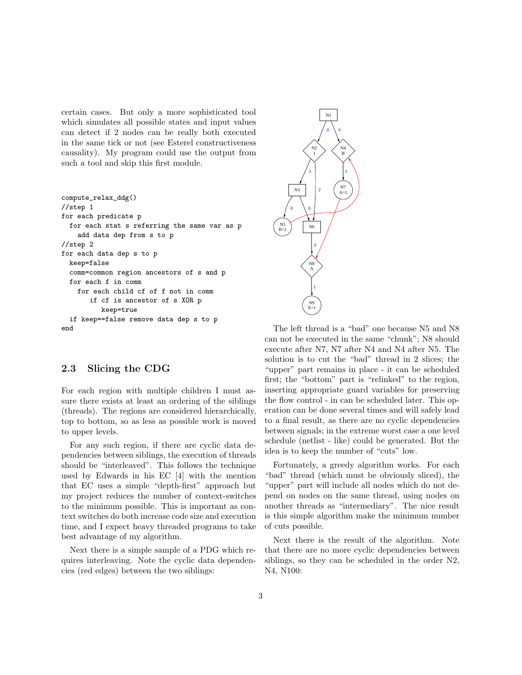certain cases. But only a more sophisticated tool which simulates all possible states and input values can detect if 2 nodes can be really both executed in the same tick or not (see Esterel constructiveness causality). My program could use the output from such a tool and skip this first module.

```
compute_relax_ddg()
//step 1
for each predicate p
 for each stat s referring the same var as p
    add data dep from s to p
//step 2
for each data dep s to p
 keep=false
  comm=common region ancestors of s and p
 for each f in comm
   for each child cf of f not in comm
       if cf is ancestor of s XOR p
          keep=true
  if keep==false remove data dep s to p
end
```


#### 2.3 Slicing the CDG

For each region with multiple children I must assure there exists at least an ordering of the siblings (threads). The regions are considered hierarchically, top to bottom, so as less as possible work is moved to upper levels.

For any such region, if there are cyclic data dependencies between siblings, the execution of threads should be "interleaved". This follows the technique used by Edwards in his EC [4] with the mention that EC uses a simple "depth-first" approach but my project reduces the number of context-switches to the minimum possible. This is important as context switches do both increase code size and execution time, and I expect heavy threaded programs to take best advantage of my algorithm.

Next there is a simple sample of a PDG which requires interleaving. Note the cyclic data dependencies (red edges) between the two siblings:

The left thread is a "bad" one because N5 and N8 can not be executed in the same "chunk"; N8 should execute after N7, N7 after N4 and N4 after N5. The solution is to cut the "bad" thread in 2 slices; the "upper" part remains in place - it can be scheduled first; the "bottom" part is "relinked" to the region, inserting appropriate guard variables for preserving the flow control - in can be scheduled later. This operation can be done several times and will safely lead to a final result, as there are no cyclic dependencies between signals; in the extreme worst case a one level schedule (netlist - like) could be generated. But the idea is to keep the number of "cuts" low.

Fortunately, a greedy algorithm works. For each "bad" thread (which must be obviously sliced), the "upper" part will include all nodes which do not depend on nodes on the same thread, using nodes on another threads as "intermediary". The nice result is this simple algorithm make the minimum number of cuts possible.

Next there is the result of the algorithm. Note that there are no more cyclic dependencies between siblings, so they can be scheduled in the order N2, N4, N100: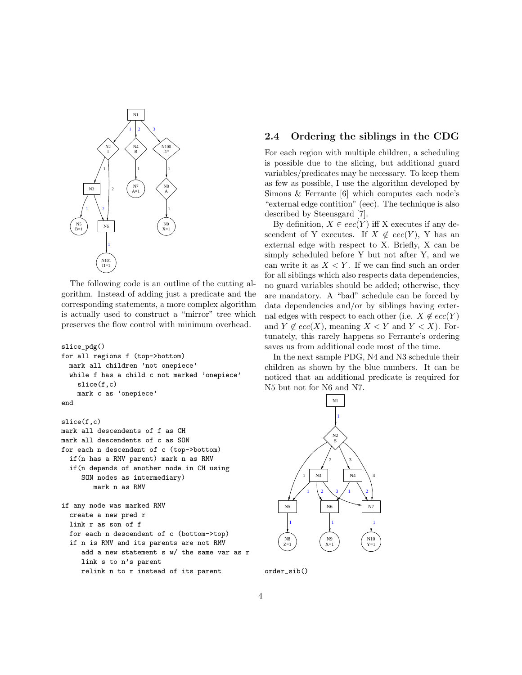

The following code is an outline of the cutting algorithm. Instead of adding just a predicate and the corresponding statements, a more complex algorithm is actually used to construct a "mirror" tree which preserves the flow control with minimum overhead.

```
slice_pdg()
for all regions f (top->bottom)
 mark all children 'not onepiece'
 while f has a child c not marked 'onepiece'
    slice(f,c)
    mark c as 'onepiece'
end
slice(f,c)
mark all descendents of f as CH
mark all descendents of c as SON
for each n descendent of c (top->bottom)
  if(n has a RMV parent) mark n as RMV
  if(n depends of another node in CH using
     SON nodes as intermediary)
        mark n as RMV
if any node was marked RMV
  create a new pred r
 link r as son of f
 for each n descendent of c (bottom->top)
  if n is RMV and its parents are not RMV
     add a new statement s w/ the same var as r
     link s to n's parent
     relink n to r instead of its parent
```
#### 2.4 Ordering the siblings in the CDG

For each region with multiple children, a scheduling is possible due to the slicing, but additional guard variables/predicates may be necessary. To keep them as few as possible, I use the algorithm developed by Simons & Ferrante [6] which computes each node's "external edge contition" (eec). The technique is also described by Steensgard [7].

By definition,  $X \in eec(Y)$  iff X executes if any descendent of Y executes. If  $X \notin eec(Y)$ , Y has an external edge with respect to X. Briefly, X can be simply scheduled before Y but not after Y, and we can write it as  $X \leq Y$ . If we can find such an order for all siblings which also respects data dependencies, no guard variables should be added; otherwise, they are mandatory. A "bad" schedule can be forced by data dependencies and/or by siblings having external edges with respect to each other (i.e.  $X \notin ecc(Y)$ and  $Y \notin ecc(X)$ , meaning  $X \lt Y$  and  $Y \lt X$ ). Fortunately, this rarely happens so Ferrante's ordering saves us from additional code most of the time.

In the next sample PDG, N4 and N3 schedule their children as shown by the blue numbers. It can be noticed that an additional predicate is required for N5 but not for N6 and N7.



order\_sib()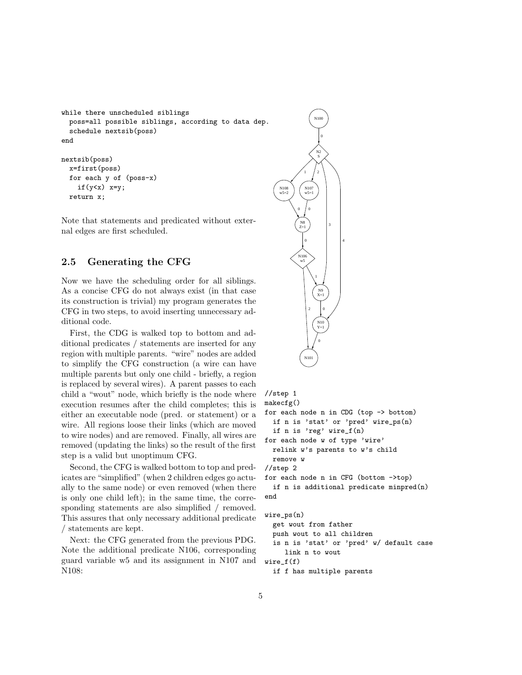```
while there unscheduled siblings
 poss=all possible siblings, according to data dep.
  schedule nextsib(poss)
end
nextsib(poss)
 x=first(poss)
  for each y of (poss-x)
    if(y<x) x=y;
```
return x;

Note that statements and predicated without external edges are first scheduled.

#### 2.5 Generating the CFG

Now we have the scheduling order for all siblings. As a concise CFG do not always exist (in that case its construction is trivial) my program generates the CFG in two steps, to avoid inserting unnecessary additional code.

First, the CDG is walked top to bottom and additional predicates / statements are inserted for any region with multiple parents. "wire" nodes are added to simplify the CFG construction (a wire can have multiple parents but only one child - briefly, a region is replaced by several wires). A parent passes to each child a "wout" node, which briefly is the node where execution resumes after the child completes; this is either an executable node (pred. or statement) or a wire. All regions loose their links (which are moved to wire nodes) and are removed. Finally, all wires are removed (updating the links) so the result of the first step is a valid but unoptimum CFG.

Second, the CFG is walked bottom to top and predicates are "simplified" (when 2 children edges go actually to the same node) or even removed (when there is only one child left); in the same time, the corresponding statements are also simplified / removed. This assures that only necessary additional predicate / statements are kept.

Next: the CFG generated from the previous PDG. Note the additional predicate N106, corresponding guard variable w5 and its assignment in N107 and N108:



```
//step 1
makecfg()
for each node n in CDG (top -> bottom)
  if n is 'stat' or 'pred' wire_ps(n)
  if n is 'reg' wire_f(n)
for each node w of type 'wire'
  relink w's parents to w's child
  remove w
```

```
//step 2
```

```
for each node n in CFG (bottom ->top)
  if n is additional predicate minpred(n)
```

```
end
```

```
wire_ps(n)
  get wout from father
 push wout to all children
  is n is 'stat' or 'pred' w/ default case
     link n to wout
wire_f(f)
```

```
if f has multiple parents
```